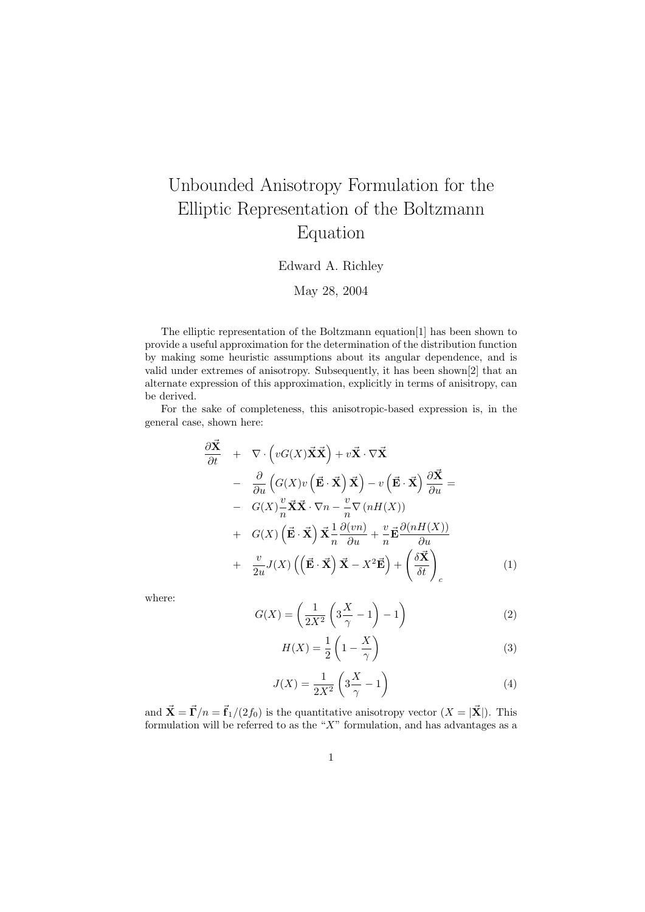# Unbounded Anisotropy Formulation for the Elliptic Representation of the Boltzmann Equation

### Edward A. Richley

### May 28, 2004

The elliptic representation of the Boltzmann equation[1] has been shown to provide a useful approximation for the determination of the distribution function by making some heuristic assumptions about its angular dependence, and is valid under extremes of anisotropy. Subsequently, it has been shown[2] that an alternate expression of this approximation, explicitly in terms of anisitropy, can be derived.

For the sake of completeness, this anisotropic-based expression is, in the general case, shown here:

$$
\frac{\partial \vec{\mathbf{X}}}{\partial t} + \nabla \cdot \left( vG(X)\vec{\mathbf{X}}\vec{\mathbf{X}} \right) + v\vec{\mathbf{X}} \cdot \nabla \vec{\mathbf{X}} \n- \frac{\partial}{\partial u} \left( G(X)v \left( \vec{\mathbf{E}} \cdot \vec{\mathbf{X}} \right) \vec{\mathbf{X}} \right) - v \left( \vec{\mathbf{E}} \cdot \vec{\mathbf{X}} \right) \frac{\partial \vec{\mathbf{X}}}{\partial u} = \n- G(X) \frac{v}{n} \vec{\mathbf{X}}\vec{\mathbf{X}} \cdot \nabla n - \frac{v}{n} \nabla (nH(X)) \n+ G(X) \left( \vec{\mathbf{E}} \cdot \vec{\mathbf{X}} \right) \vec{\mathbf{X}} \frac{1}{n} \frac{\partial (vn)}{\partial u} + \frac{v}{n} \vec{\mathbf{E}} \frac{\partial (nH(X))}{\partial u} \n+ \frac{v}{2u} J(X) \left( \left( \vec{\mathbf{E}} \cdot \vec{\mathbf{X}} \right) \vec{\mathbf{X}} - X^2 \vec{\mathbf{E}} \right) + \left( \frac{\delta \vec{\mathbf{X}}}{\delta t} \right)_c
$$
\n(1)

where:

$$
G(X) = \left(\frac{1}{2X^2} \left(3\frac{X}{\gamma} - 1\right) - 1\right) \tag{2}
$$

$$
H(X) = \frac{1}{2} \left( 1 - \frac{X}{\gamma} \right) \tag{3}
$$

$$
J(X) = \frac{1}{2X^2} \left( 3\frac{X}{\gamma} - 1 \right) \tag{4}
$$

and  $\vec{\mathbf{X}} = \vec{\mathbf{\Gamma}}/n = \vec{\mathbf{f}}_1/(2f_0)$  is the quantitative anisotropy vector  $(X = |\vec{\mathbf{X}}|)$ . This formulation will be referred to as the " $X$ " formulation, and has advantages as a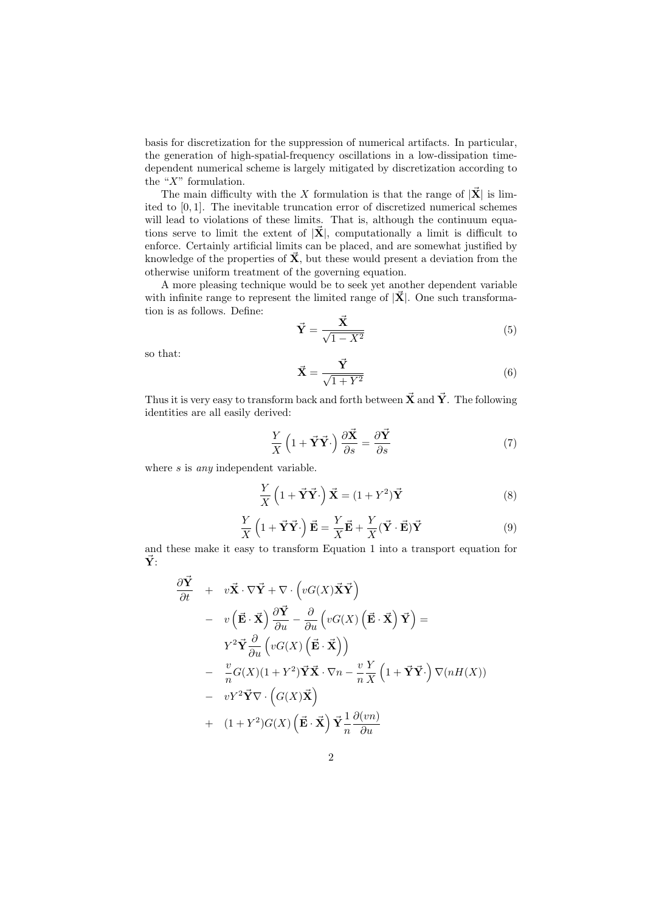basis for discretization for the suppression of numerical artifacts. In particular, the generation of high-spatial-frequency oscillations in a low-dissipation timedependent numerical scheme is largely mitigated by discretization according to the " $X$ " formulation.

The main difficulty with the X formulation is that the range of  $|\vec{\mathbf{X}}|$  is limited to [0, 1]. The inevitable truncation error of discretized numerical schemes will lead to violations of these limits. That is, although the continuum equations serve to limit the extent of  $|\vec{\mathbf{X}}|$ , computationally a limit is difficult to enforce. Certainly artificial limits can be placed, and are somewhat justified by knowledge of the properties of  $\vec{X}$ , but these would present a deviation from the otherwise uniform treatment of the governing equation.

A more pleasing technique would be to seek yet another dependent variable with infinite range to represent the limited range of  $|\vec{\mathbf{X}}|$ . One such transformation is as follows. Define:

$$
\vec{Y} = \frac{\vec{X}}{\sqrt{1 - X^2}}\tag{5}
$$

so that:

$$
\vec{\mathbf{X}} = \frac{\vec{\mathbf{Y}}}{\sqrt{1 + Y^2}}\tag{6}
$$

Thus it is very easy to transform back and forth between  $\vec{X}$  and  $\vec{Y}$ . The following identities are all easily derived:

$$
\frac{Y}{X} \left( 1 + \vec{Y} \vec{Y} \cdot \right) \frac{\partial \vec{X}}{\partial s} = \frac{\partial \vec{Y}}{\partial s}
$$
\n(7)

where *s* is *any* independent variable.

$$
\frac{Y}{X}\left(1+\vec{\mathbf{Y}}\vec{\mathbf{Y}}\cdot\right)\vec{\mathbf{X}}=(1+Y^2)\vec{\mathbf{Y}}\tag{8}
$$

$$
\frac{Y}{X}\left(1+\vec{\mathbf{Y}}\vec{\mathbf{Y}}\cdot\right)\vec{\mathbf{E}} = \frac{Y}{X}\vec{\mathbf{E}} + \frac{Y}{X}(\vec{\mathbf{Y}}\cdot\vec{\mathbf{E}})\vec{\mathbf{Y}} \tag{9}
$$

and these make it easy to transform Equation 1 into a transport equation for  $\vec{Y}$ :

$$
\frac{\partial \vec{Y}}{\partial t} + v\vec{X} \cdot \nabla \vec{Y} + \nabla \cdot \left(vG(X)\vec{X}\vec{Y}\right) \n- v\left(\vec{E}\cdot\vec{X}\right)\frac{\partial \vec{Y}}{\partial u} - \frac{\partial}{\partial u}\left(vG(X)\left(\vec{E}\cdot\vec{X}\right)\vec{Y}\right) = \nY^2\vec{Y}\frac{\partial}{\partial u}\left(vG(X)\left(\vec{E}\cdot\vec{X}\right)\right) \n- \frac{v}{n}G(X)(1+Y^2)\vec{Y}\vec{X}\cdot\nabla n - \frac{v}{n}\frac{Y}{X}\left(1+\vec{Y}\vec{Y}\cdot\right)\nabla(nH(X)) \n- vY^2\vec{Y}\nabla \cdot \left(G(X)\vec{X}\right) \n+ (1+Y^2)G(X)\left(\vec{E}\cdot\vec{X}\right)\vec{Y}\frac{1}{n}\frac{\partial(vn)}{\partial u}
$$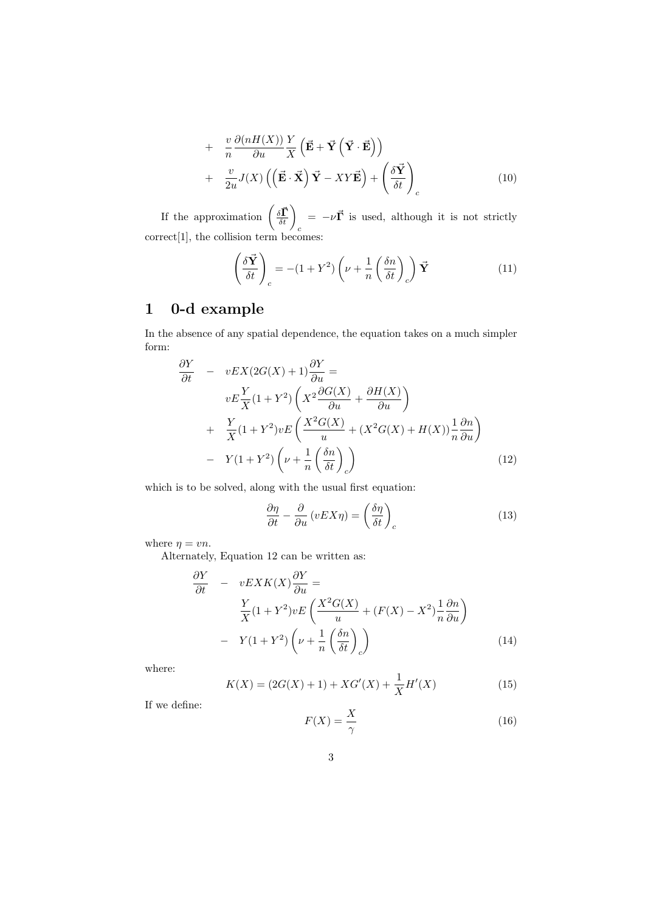+ 
$$
\frac{v}{n} \frac{\partial (nH(X))}{\partial u} \frac{Y}{X} \left( \vec{\mathbf{E}} + \vec{\mathbf{Y}} \left( \vec{\mathbf{Y}} \cdot \vec{\mathbf{E}} \right) \right)
$$
  
+  $\frac{v}{2u} J(X) \left( \left( \vec{\mathbf{E}} \cdot \vec{\mathbf{X}} \right) \vec{\mathbf{Y}} - XY \vec{\mathbf{E}} \right) + \left( \frac{\delta \vec{\mathbf{Y}}}{\delta t} \right)_c$  (10)

If the approximation  $\left(\frac{\delta \vec{\Gamma}}{\delta t}\right)_c$  $= -\nu \vec{\Gamma}$  is used, although it is not strictly correct[1], the collision term becomes:

$$
\left(\frac{\delta \vec{\mathbf{Y}}}{\delta t}\right)_c = -(1+Y^2) \left(\nu + \frac{1}{n} \left(\frac{\delta n}{\delta t}\right)_c\right) \vec{\mathbf{Y}} \tag{11}
$$

### 1 0-d example

In the absence of any spatial dependence, the equation takes on a much simpler form:

$$
\frac{\partial Y}{\partial t} - vEX(2G(X) + 1)\frac{\partial Y}{\partial u} =
$$
\n
$$
vE\frac{Y}{X}(1+Y^2)\left(X^2\frac{\partial G(X)}{\partial u} + \frac{\partial H(X)}{\partial u}\right)
$$
\n
$$
+ \frac{Y}{X}(1+Y^2)vE\left(\frac{X^2G(X)}{u} + (X^2G(X) + H(X))\frac{1}{n}\frac{\partial n}{\partial u}\right)
$$
\n
$$
- Y(1+Y^2)\left(\nu + \frac{1}{n}\left(\frac{\delta n}{\delta t}\right)_c\right)
$$
\n(12)

which is to be solved, along with the usual first equation:

$$
\frac{\partial \eta}{\partial t} - \frac{\partial}{\partial u} (vEX\eta) = \left(\frac{\delta \eta}{\delta t}\right)_c \tag{13}
$$

where  $\eta = v n$ .

Alternately, Equation 12 can be written as:

$$
\frac{\partial Y}{\partial t} - vEXK(X)\frac{\partial Y}{\partial u} =
$$
\n
$$
\frac{Y}{X}(1+Y^2)vE\left(\frac{X^2G(X)}{u} + (F(X) - X^2)\frac{1}{n}\frac{\partial n}{\partial u}\right)
$$
\n
$$
-Y(1+Y^2)\left(\nu + \frac{1}{n}\left(\frac{\delta n}{\delta t}\right)_c\right)
$$
\n(14)

where:

$$
K(X) = (2G(X) + 1) + XG'(X) + \frac{1}{X}H'(X)
$$
\n(15)

If we define:

$$
F(X) = \frac{X}{\gamma} \tag{16}
$$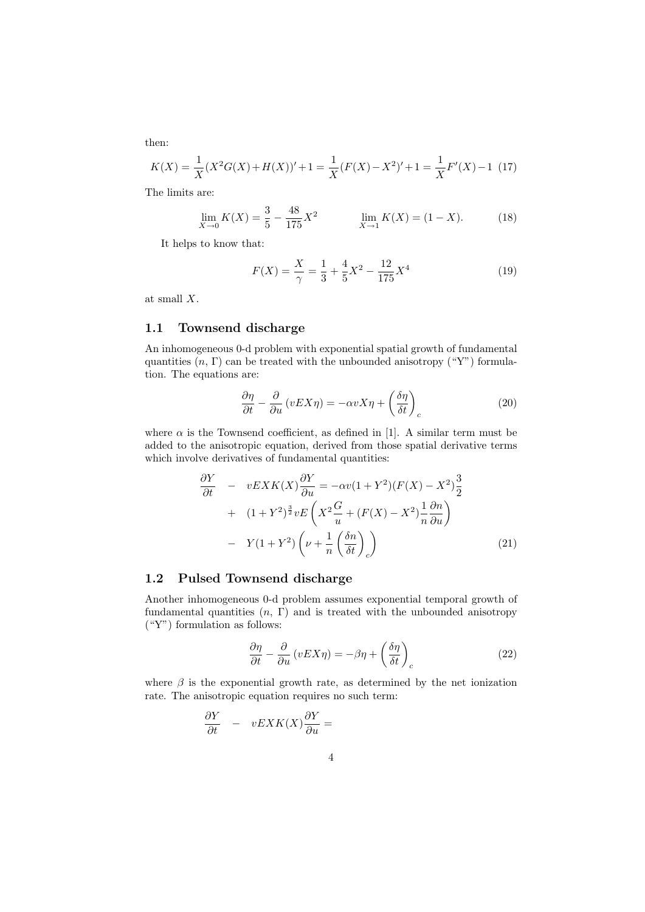then:

$$
K(X) = \frac{1}{X}(X^2G(X) + H(X))' + 1 = \frac{1}{X}(F(X) - X^2)' + 1 = \frac{1}{X}F'(X) - 1
$$
 (17)

The limits are:

$$
\lim_{X \to 0} K(X) = \frac{3}{5} - \frac{48}{175} X^2 \qquad \lim_{X \to 1} K(X) = (1 - X). \tag{18}
$$

It helps to know that:

$$
F(X) = \frac{X}{\gamma} = \frac{1}{3} + \frac{4}{5}X^2 - \frac{12}{175}X^4
$$
\n(19)

at small X.

### 1.1 Townsend discharge

An inhomogeneous 0-d problem with exponential spatial growth of fundamental quantities  $(n, \Gamma)$  can be treated with the unbounded anisotropy ("Y") formulation. The equations are:

$$
\frac{\partial \eta}{\partial t} - \frac{\partial}{\partial u} (vEX\eta) = -\alpha vX\eta + \left(\frac{\delta \eta}{\delta t}\right)_c \tag{20}
$$

where  $\alpha$  is the Townsend coefficient, as defined in [1]. A similar term must be added to the anisotropic equation, derived from those spatial derivative terms which involve derivatives of fundamental quantities:

$$
\frac{\partial Y}{\partial t} - vEXK(X)\frac{\partial Y}{\partial u} = -\alpha v(1+Y^2)(F(X)-X^2)\frac{3}{2}
$$
  
+ 
$$
(1+Y^2)^{\frac{3}{2}}vE\left(X^2\frac{G}{u} + (F(X)-X^2)\frac{1}{n}\frac{\partial n}{\partial u}\right)
$$
  
- 
$$
Y(1+Y^2)\left(\nu + \frac{1}{n}\left(\frac{\delta n}{\delta t}\right)_c\right)
$$
(21)

### 1.2 Pulsed Townsend discharge

Another inhomogeneous 0-d problem assumes exponential temporal growth of fundamental quantities  $(n, \Gamma)$  and is treated with the unbounded anisotropy ("Y") formulation as follows:

$$
\frac{\partial \eta}{\partial t} - \frac{\partial}{\partial u} (vEX\eta) = -\beta \eta + \left(\frac{\delta \eta}{\delta t}\right)_c \tag{22}
$$

where  $\beta$  is the exponential growth rate, as determined by the net ionization rate. The anisotropic equation requires no such term:

$$
\frac{\partial Y}{\partial t} - vEXK(X)\frac{\partial Y}{\partial u} =
$$